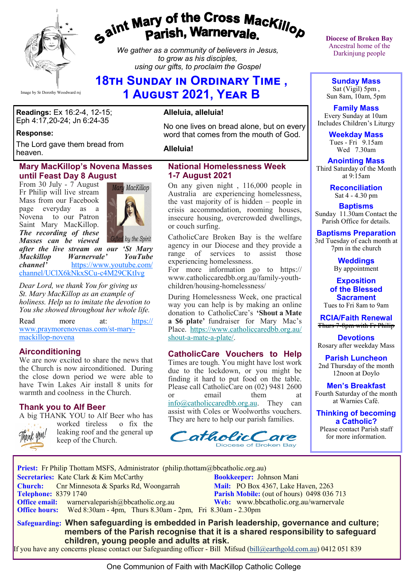

# gaint Mary of the Cross Mackillop<br>g<sup>aint</sup> Parish, Warnervale.

*We gather as a community of believers in Jesus, to grow as his disciples, using our gifts, to proclaim the Gospel*

# **18TH SUNDAY IN ORDINARY TIME, 1 August 2021, Year B**

**Readings:** Ex 16:2-4, 12-15; Eph 4:17,20-24; Jn 6:24-35

#### **Response:**

The Lord gave them bread from heaven.

#### **Mary MacKillop's Novena Masses until Feast Day 8 August**

From 30 July - 7 August Fr Philip will live stream Mass from our Facebook page everyday as a Novena to our Patron Saint Mary MacKillop. *The recording of these Masses can be viewed* 



*after the live stream on our 'St Mary Mackillop Warnervale*<sup>*'*</sup> *https://www channel'* [https://www.youtube.com/](https://www.youtube.com/channel/UClX6kNkxSCu-c4M29CKtIvg) [channel/UClX6kNkxSCu](https://www.youtube.com/channel/UClX6kNkxSCu-c4M29CKtIvg)-c4M29CKtIvg

*Dear Lord, we thank You for giving us St. Mary MacKillop as an example of holiness. Help us to imitate the devotion to You she showed throughout her whole life.*

Read more at: [https://](https://www.praymorenovenas.com/st-mary-mackillop-novena) [www.praymorenovenas.com/st](https://www.praymorenovenas.com/st-mary-mackillop-novena)-mary[mackillop](https://www.praymorenovenas.com/st-mary-mackillop-novena)-novena

#### **Airconditioning**

We are now excited to share the news that the Church is now airconditioned. During the close down period we were able to have Twin Lakes Air install 8 units for warmth and coolness in the Church.

#### **Thank you to Alf Beer** A big THANK YOU to Alf Beer who has



worked tireless o fix the leaking roof and the general up keep of the Church.

### **Alleluia, alleluia!**

No one lives on bread alone, but on every word that comes from the mouth of God.

**Alleluia!**

#### **National Homelessness Week 1-7 August 2021**

On any given night , 116,000 people in Australia are experiencing homelessness, the vast majority of is hidden – people in crisis accommodation, rooming houses, insecure housing, overcrowded dwellings, or couch surfing.

CatholicCare Broken Bay is the welfare agency in our Diocese and they provide a range of services to assist those experiencing homelessness.

For more information go to https:// www.catholiccaredbb.org.au/family-youthchildren/housing-homelessness/

During Homelessness Week, one practical way you can help is by making an online donation to CatholicCare's **'Shout a Mate a \$6 plate'** fundraiser for Mary Mac's Place. [https://www.catholiccaredbb.org.au/](https://bbcatholic.us8.list-manage.com/track/click?u=466af249e088db70ab864d088&id=3172351937&e=e312df0f80) shout-a-mate-a-[plate/.](https://bbcatholic.us8.list-manage.com/track/click?u=466af249e088db70ab864d088&id=3172351937&e=e312df0f80)

#### **CatholicCare Vouchers to Help**

Times are tough. You might have lost work due to the lockdown, or you might be finding it hard to put food on the table. Please call CatholicCare on (02) 9481 2600 or email them at [info@catholiccaredbb.org.au.](mailto:info@catholiccaredbb.org.au) They can assist with Coles or Woolworths vouchers.

CatholicC are Diocese of Broken Bay

They are here to help our parish families.

**Diocese of Broken Bay**  Ancestral home of the Darkinjung people

**Sunday Mass** Sat (Vigil) 5pm , Sun 8am, 10am, 5pm

**Family Mass**  Every Sunday at 10am Includes Children's Liturgy

> **Weekday Mass** Tues - Fri  $9.15$ am Wed 7.30am

**Anointing Mass** Third Saturday of the Month at 9:15am

> **Reconciliation** Sat 4 - 4.30 pm

**Baptisms** Sunday 11.30am Contact the Parish Office for details.

**Baptisms Preparation** 3rd Tuesday of each month at 7pm in the church

> **Weddings**  By appointment

**Exposition of the Blessed Sacrament** Tues to Fri 8am to 9am

**RCIA/Faith Renewal**  Thurs 7-8pm with Fr Philip

**Devotions** Rosary after weekday Mass

**Parish Luncheon** 2nd Thursday of the month 12noon at Doylo

**Men's Breakfast** Fourth Saturday of the month at Warnies Café.

**Thinking of becoming a Catholic?**

Please contact Parish staff for more information.

**Priest:** Fr Philip Thottam MSFS, Administrator (philip.thottam@bbcatholic.org.au)  **Secretaries:** Kate Clark & Kim McCarthy **Bookkeeper:** Johnson Mani **Church:** Cnr Minnesota & Sparks Rd, Woongarrah **Mail:** PO Box 4367, Lake Haven, 2263<br> **Telephone:** 8379 1740 **Parish Mobile:** (out of hours) 0498 036

 **Office hours:** Wed 8:30am - 4pm, Thurs 8.30am - 2pm, Fri 8.30am - 2.30pm

**Parish Mobile:** (out of hours) 0498 036 713 **Office email:** warnervaleparish@bbcatholic.org.au **Web:** [www.bbcatholic.org.au/warnervale](https://www.bbcatholic.org.au/warnervale)

 **Safeguarding: When safeguarding is embedded in Parish leadership, governance and culture; members of the Parish recognise that it is a shared responsibility to safeguard children, young people and adults at risk.**

If you have any concerns please contact our Safeguarding officer - Bill Mifsud ([bill@earthgold.com.au\)](mailto:bill@earthgold.com.au) 0412 051 839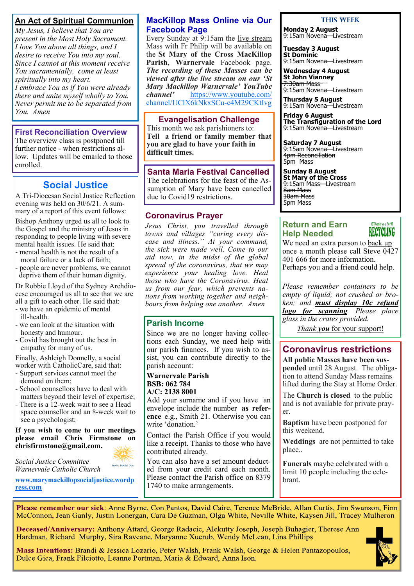## **An Act of Spiritual Communion**

*My Jesus, I believe that You are present in the Most Holy Sacrament. I love You above all things, and I desire to receive You into my soul. Since I cannot at this moment receive You sacramentally, come at least spiritually into my heart. I embrace You as if You were already there and unite myself wholly to You. Never permit me to be separated from You. Amen*

#### **First Reconciliation Overview**

The overview class is postponed till further notice - when restrictions allow. Updates will be emailed to those enrolled.

# **Social Justice**

A Tri-Diocesan Social Justice Reflection evening was held on 30/6/21. A summary of a report of this event follows:

Bishop Anthony urged us all to look to the Gospel and the ministry of Jesus in responding to people living with severe mental health issues. He said that:

- mental health is not the result of a moral failure or a lack of faith; - people are never problems, we cannot deprive them of their human dignity.

Dr Robbie Lloyd of the Sydney Archdiocese encouraged us all to see that we are all a gift to each other. He said that:

- we have an epidemic of mental ill-health.
- we can look at the situation with honesty and humour.
- Covid has brought out the best in empathy for many of us.

Finally, Ashleigh Donnelly, a social worker with CatholicCare, said that:

- Support services cannot meet the demand on them;

- School counsellors have to deal with matters beyond their level of expertise;

- There is a 12-week wait to see a Head space counsellor and an 8-week wait to see a psychologist;

**If you wish to come to our meetings please email Chris Firmstone on chrisfirmstone@gmail.com.**

holic Social Just

**[www.marymackillopsocialjustice.wordp](http://www.marymackillopsocialjustice.wordpress.com) ress[.com](http://www.marymackillopsocialjustice.wordpress.com)**

*Social Justice Committee Warnervale Catholic Church* 

#### **MacKillop Mass Online via Our Facebook Page**

Every Sunday at 9:15am the live stream Mass with Fr Philip will be available on the **St Mary of the Cross MacKillop Parish, Warnervale** Facebook page. *The recording of these Masses can be viewed after the live stream on our 'St Mary Mackillop Warnervale' YouTube*  [https://www.youtube.com/](https://www.youtube.com/channel/UClX6kNkxSCu-c4M29CKtIvg) [channel/UClX6kNkxSCu](https://www.youtube.com/channel/UClX6kNkxSCu-c4M29CKtIvg)-c4M29CKtIvg

**Evangelisation Challenge** 

This month we ask parishioners to: **Tell a friend or family member that you are glad to have your faith in difficult times.** 

#### **Santa Maria Festival Cancelled**

The celebrations for the feast of the Assumption of Mary have been cancelled due to Covid19 restrictions.

#### **Coronavirus Prayer**

*Jesus Christ, you travelled through towns and villages "curing every disease and illness." At your command, the sick were made well. Come to our aid now, in the midst of the global spread of the coronavirus, that we may experience your healing love. Heal those who have the Coronavirus. Heal us from our fear, which prevents nations from working together and neighbours from helping one another. Amen*

#### **Parish Income**

Since we are no longer having collections each Sunday, we need help with our parish finances. If you wish to assist, you can contribute directly to the parish account:

#### **Warnervale Parish BSB: 062 784 A/C: 2138 8001**

Add your surname and if you have an envelope include the number **as reference** e.g., Smith 21. Otherwise you can write 'donation.'

Contact the Parish Office if you would like a receipt. Thanks to those who have contributed already.

You can also have a set amount deducted from your credit card each month. Please contact the Parish office on 8379 1740 to make arrangements.

#### **This Week**

**Monday 2 August** 9:15am Novena—Livestream

**Tuesday 3 August St Dominic** 9:15am Novena—Livestream

**Wednesday 4 August St John Vianney** 7:30am Mass 9:15am Novena—Livestream

**Thursday 5 August** 9:15am Novena—Livestream

**Friday 6 August The Transfiguration of the Lord** 9:15am Novena—Livestream

**Saturday 7 August** 9:15am Novena—Livestream 4pm Reconciliation 5pm Mass

**Sunday 8 August St Mary of the Cross** 9:15am Mass—Livestream 8am Mass 10am Mass 5pm Mass

#### **Return and Earn Help Needed**

SThank you for S RECYCLING

We need an extra person to back up once a month please call Steve  $0427$ 401 666 for more information. Perhaps you and a friend could help.

*Please remember containers to be empty of liquid; not crushed or broken; and must display 10c refund logo for scanning. Please place glass in the crates provided.* 

*Thank you* for your support!

# **Coronavirus restrictions**

**All public Masses have been suspended** until 28 August. The obligation to attend Sunday Mass remains lifted during the Stay at Home Order.

The **Church is closed** to the public and is not available for private prayer.

**Baptism** have been postponed for this weekend.

**Weddings** are not permitted to take place..

**Funerals** maybe celebrated with a limit 10 people including the celebrant.

Please remember our sick: Anne Byrne, Con Pantos, David Caire, Terence McBride, Allan Curtis, Jim Swanson, Finn McConnon, Jean Ganly, Justin Lonergan, Cara De Guzman, Olga White, Neville White, Kaysen Jill, Tracey Mulheron

Deceased/Anniversary: Anthony Attard, George Radacic, Alekutty Joseph, Joseph Buhagier, Therese Ann Hardman, Richard Murphy, Sira Raveane, Maryanne Xuerub, Wendy McLean, Lina Phillips

Mass Intentions: Brandi & Jessica Lozario, Peter Walsh, Frank Walsh, George & Helen Pantazopoulos, Dulce Gica, Frank Filciotto, Leanne Portman, Maria & Edward, Anna Ison.



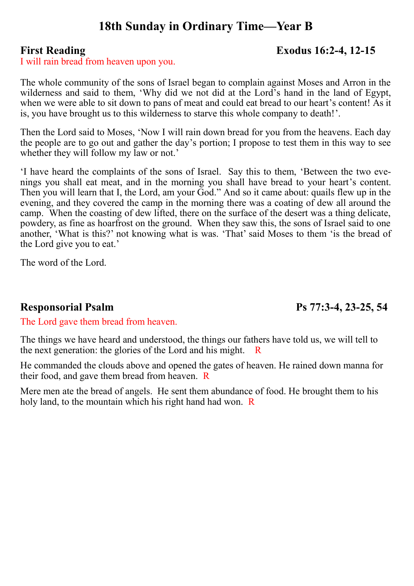# **18th Sunday in Ordinary Time—Year B**

# **First Reading Exodus 16:2-4, 12-15**

I will rain bread from heaven upon you.

The whole community of the sons of Israel began to complain against Moses and Arron in the wilderness and said to them, 'Why did we not did at the Lord's hand in the land of Egypt, when we were able to sit down to pans of meat and could eat bread to our heart's content! As it is, you have brought us to this wilderness to starve this whole company to death!'.

Then the Lord said to Moses, 'Now I will rain down bread for you from the heavens. Each day the people are to go out and gather the day's portion; I propose to test them in this way to see whether they will follow my law or not.'

'I have heard the complaints of the sons of Israel. Say this to them, 'Between the two evenings you shall eat meat, and in the morning you shall have bread to your heart's content. Then you will learn that I, the Lord, am your God." And so it came about: quails flew up in the evening, and they covered the camp in the morning there was a coating of dew all around the camp. When the coasting of dew lifted, there on the surface of the desert was a thing delicate, powdery, as fine as hoarfrost on the ground. When they saw this, the sons of Israel said to one another, 'What is this?' not knowing what is was. 'That' said Moses to them 'is the bread of the Lord give you to eat.'

The word of the Lord.

# **Responsorial Psalm Ps 77:3-4, 23-25, 54**

The Lord gave them bread from heaven.

The things we have heard and understood, the things our fathers have told us, we will tell to the next generation: the glories of the Lord and his might. R

He commanded the clouds above and opened the gates of heaven. He rained down manna for their food, and gave them bread from heaven. R

Mere men ate the bread of angels. He sent them abundance of food. He brought them to his holy land, to the mountain which his right hand had won. R